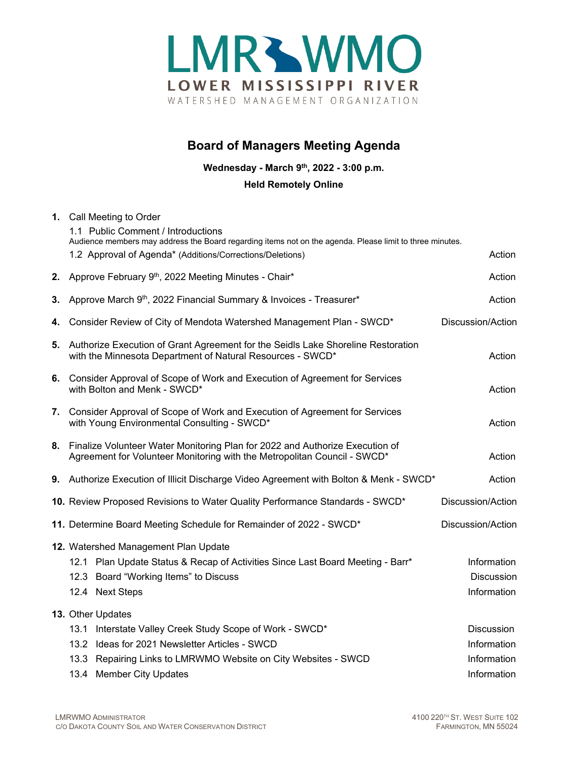

# **Board of Managers Meeting Agenda**

**Wednesday - March 9th, 2022 - 3:00 p.m.**

**Held Remotely Online**

|                                      | 1. Call Meeting to Order<br>1.1 Public Comment / Introductions                                                                                           |                                                                                                                                                                       |                   |  |
|--------------------------------------|----------------------------------------------------------------------------------------------------------------------------------------------------------|-----------------------------------------------------------------------------------------------------------------------------------------------------------------------|-------------------|--|
|                                      |                                                                                                                                                          | Audience members may address the Board regarding items not on the agenda. Please limit to three minutes.<br>1.2 Approval of Agenda* (Additions/Corrections/Deletions) | Action            |  |
|                                      | 2. Approve February 9th, 2022 Meeting Minutes - Chair*                                                                                                   |                                                                                                                                                                       | Action            |  |
| 3.                                   | Approve March 9th, 2022 Financial Summary & Invoices - Treasurer*                                                                                        |                                                                                                                                                                       | Action            |  |
| 4.                                   | Consider Review of City of Mendota Watershed Management Plan - SWCD*                                                                                     |                                                                                                                                                                       | Discussion/Action |  |
|                                      | 5. Authorize Execution of Grant Agreement for the Seidls Lake Shoreline Restoration<br>with the Minnesota Department of Natural Resources - SWCD*        |                                                                                                                                                                       | Action            |  |
|                                      | 6. Consider Approval of Scope of Work and Execution of Agreement for Services<br>with Bolton and Menk - SWCD*                                            |                                                                                                                                                                       | Action            |  |
|                                      | 7. Consider Approval of Scope of Work and Execution of Agreement for Services<br>with Young Environmental Consulting - SWCD*                             |                                                                                                                                                                       | Action            |  |
| 8.                                   | Finalize Volunteer Water Monitoring Plan for 2022 and Authorize Execution of<br>Agreement for Volunteer Monitoring with the Metropolitan Council - SWCD* |                                                                                                                                                                       | Action            |  |
|                                      | 9. Authorize Execution of Illicit Discharge Video Agreement with Bolton & Menk - SWCD*                                                                   |                                                                                                                                                                       | Action            |  |
|                                      | 10. Review Proposed Revisions to Water Quality Performance Standards - SWCD*                                                                             |                                                                                                                                                                       | Discussion/Action |  |
|                                      | 11. Determine Board Meeting Schedule for Remainder of 2022 - SWCD*                                                                                       | Discussion/Action                                                                                                                                                     |                   |  |
| 12. Watershed Management Plan Update |                                                                                                                                                          |                                                                                                                                                                       |                   |  |
|                                      |                                                                                                                                                          | 12.1 Plan Update Status & Recap of Activities Since Last Board Meeting - Barr*                                                                                        | Information       |  |
|                                      |                                                                                                                                                          | 12.3 Board "Working Items" to Discuss                                                                                                                                 | <b>Discussion</b> |  |
|                                      | 12.4 Next Steps                                                                                                                                          |                                                                                                                                                                       | Information       |  |
|                                      | 13. Other Updates                                                                                                                                        |                                                                                                                                                                       |                   |  |
|                                      |                                                                                                                                                          | 13.1 Interstate Valley Creek Study Scope of Work - SWCD*                                                                                                              | <b>Discussion</b> |  |
|                                      |                                                                                                                                                          | 13.2 Ideas for 2021 Newsletter Articles - SWCD                                                                                                                        | Information       |  |
|                                      |                                                                                                                                                          | 13.3 Repairing Links to LMRWMO Website on City Websites - SWCD                                                                                                        | Information       |  |
|                                      | 13.4 Member City Updates                                                                                                                                 |                                                                                                                                                                       | Information       |  |